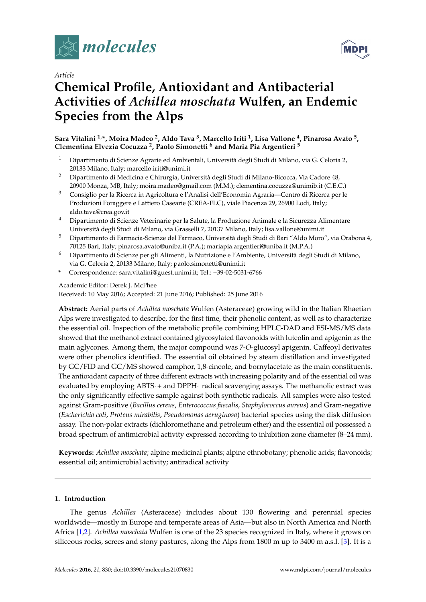

# *Article* **Chemical Profile, Antioxidant and Antibacterial Activities of** *Achillea moschata* **Wulfen, an Endemic Species from the Alps**

# **Sara Vitalini 1,\*, Moira Madeo <sup>2</sup> , Aldo Tava <sup>3</sup> , Marcello Iriti <sup>1</sup> , Lisa Vallone <sup>4</sup> , Pinarosa Avato <sup>5</sup> , Clementina Elvezia Cocuzza <sup>2</sup> , Paolo Simonetti <sup>6</sup> and Maria Pia Argentieri <sup>5</sup>**

- <sup>1</sup> Dipartimento di Scienze Agrarie ed Ambientali, Università degli Studi di Milano, via G. Celoria 2, 20133 Milano, Italy; marcello.iriti@unimi.it
- <sup>2</sup> Dipartimento di Medicina e Chirurgia, Università degli Studi di Milano-Bicocca, Via Cadore 48, 20900 Monza, MB, Italy; moira.madeo@gmail.com (M.M.); clementina.cocuzza@unimib.it (C.E.C.)
- <sup>3</sup> Consiglio per la Ricerca in Agricoltura e l'Analisi dell'Economia Agraria—Centro di Ricerca per le Produzioni Foraggere e Lattiero Casearie (CREA-FLC), viale Piacenza 29, 26900 Lodi, Italy; aldo.tava@crea.gov.it
- <sup>4</sup> Dipartimento di Scienze Veterinarie per la Salute, la Produzione Animale e la Sicurezza Alimentare Università degli Studi di Milano, via Grasselli 7, 20137 Milano, Italy; lisa.vallone@unimi.it
- <sup>5</sup> Dipartimento di Farmacia-Scienze del Farmaco, Università degli Studi di Bari "Aldo Moro", via Orabona 4, 70125 Bari, Italy; pinarosa.avato@uniba.it (P.A.); mariapia.argentieri@uniba.it (M.P.A.)
- <sup>6</sup> Dipartimento di Scienze per gli Alimenti, la Nutrizione e l'Ambiente, Università degli Studi di Milano, via G. Celoria 2, 20133 Milano, Italy; paolo.simonetti@unimi.it
- **\*** Correspondence: sara.vitalini@guest.unimi.it; Tel.: +39-02-5031-6766

# Academic Editor: Derek J. McPhee

Received: 10 May 2016; Accepted: 21 June 2016; Published: 25 June 2016

**Abstract:** Aerial parts of *Achillea moschata* Wulfen (Asteraceae) growing wild in the Italian Rhaetian Alps were investigated to describe, for the first time, their phenolic content, as well as to characterize the essential oil. Inspection of the metabolic profile combining HPLC-DAD and ESI-MS/MS data showed that the methanol extract contained glycosylated flavonoids with luteolin and apigenin as the main aglycones. Among them, the major compound was 7-*O*-glucosyl apigenin. Caffeoyl derivates were other phenolics identified. The essential oil obtained by steam distillation and investigated by GC/FID and GC/MS showed camphor, 1,8-cineole, and bornylacetate as the main constituents. The antioxidant capacity of three different extracts with increasing polarity and of the essential oil was evaluated by employing ABTS $\cdot$  + and DPPH $\cdot$  radical scavenging assays. The methanolic extract was the only significantly effective sample against both synthetic radicals. All samples were also tested against Gram-positive (*Bacillus cereus*, *Enterococcus faecalis*, *Staphylococcus aureus*) and Gram-negative (*Escherichia coli*, *Proteus mirabilis*, *Pseudomonas aeruginosa*) bacterial species using the disk diffusion assay. The non-polar extracts (dichloromethane and petroleum ether) and the essential oil possessed a broad spectrum of antimicrobial activity expressed according to inhibition zone diameter (8–24 mm).

**Keywords:** *Achillea moschata*; alpine medicinal plants; alpine ethnobotany; phenolic acids; flavonoids; essential oil; antimicrobial activity; antiradical activity

# **1. Introduction**

The genus *Achillea* (Asteraceae) includes about 130 flowering and perennial species worldwide—mostly in Europe and temperate areas of Asia—but also in North America and North Africa [\[1,](#page-11-0)[2\]](#page-11-1). *Achillea moschata* Wulfen is one of the 23 species recognized in Italy, where it grows on siliceous rocks, screes and stony pastures, along the Alps from 1800 m up to 3400 m a.s.l. [\[3\]](#page-11-2). It is a

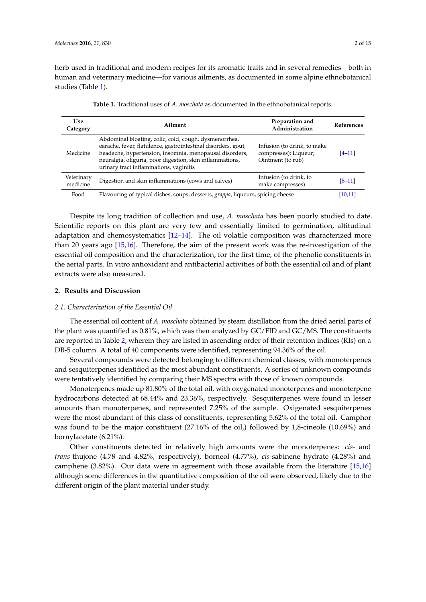herb used in traditional and modern recipes for its aromatic traits and in several remedies—both in human and veterinary medicine—for various ailments, as documented in some alpine ethnobotanical studies (Table [1\)](#page-1-0).

<span id="page-1-0"></span>

| <b>Use</b><br>Category | Ailment                                                                                                                                                                                                                                                                                 | Preparation and<br>Administration                                         | <b>References</b> |
|------------------------|-----------------------------------------------------------------------------------------------------------------------------------------------------------------------------------------------------------------------------------------------------------------------------------------|---------------------------------------------------------------------------|-------------------|
| Medicine               | Abdominal bloating, colic, cold, cough, dysmenorrhea,<br>earache, fever, flatulence, gastrointestinal disorders, gout,<br>headache, hypertension, insomnia, menopausal disorders,<br>neuralgia, oliguria, poor digestion, skin inflammations,<br>urinary tract inflammations, vaginitis | Infusion (to drink, to make<br>compresses); Liqueur;<br>Ointment (to rub) | $[4 - 11]$        |
| Veterinary<br>medicine | Digestion and skin inflammations (cows and calves)                                                                                                                                                                                                                                      | Infusion (to drink, to<br>make compresses)                                | $[8-11]$          |
| Food                   | Flavouring of typical dishes, soups, desserts, <i>grappa</i> , liqueurs, spicing cheese                                                                                                                                                                                                 |                                                                           | [10.11]           |

**Table 1.** Traditional uses of *A. moschata* as documented in the ethnobotanical reports.

Despite its long tradition of collection and use, *A. moschata* has been poorly studied to date. Scientific reports on this plant are very few and essentially limited to germination, altitudinal adaptation and chemosystematics [\[12–](#page-12-3)[14\]](#page-12-4). The oil volatile composition was characterized more than 20 years ago [\[15,](#page-12-5)[16\]](#page-12-6). Therefore, the aim of the present work was the re-investigation of the essential oil composition and the characterization, for the first time, of the phenolic constituents in the aerial parts. In vitro antioxidant and antibacterial activities of both the essential oil and of plant extracts were also measured.

#### **2. Results and Discussion**

#### *2.1. Characterization of the Essential Oil*

The essential oil content of *A. moschata* obtained by steam distillation from the dried aerial parts of the plant was quantified as 0.81%, which was then analyzed by GC/FID and GC/MS. The constituents are reported in Table [2,](#page-2-0) wherein they are listed in ascending order of their retention indices (RIs) on a DB-5 column. A total of 40 components were identified, representing 94.36% of the oil.

Several compounds were detected belonging to different chemical classes, with monoterpenes and sesquiterpenes identified as the most abundant constituents. A series of unknown compounds were tentatively identified by comparing their MS spectra with those of known compounds.

Monoterpenes made up 81.80% of the total oil, with oxygenated monoterpenes and monoterpene hydrocarbons detected at 68.44% and 23.36%, respectively. Sesquiterpenes were found in lesser amounts than monoterpenes, and represented 7.25% of the sample. Oxigenated sesquiterpenes were the most abundant of this class of constituents, representing 5.62% of the total oil. Camphor was found to be the major constituent (27.16% of the oil,) followed by 1,8-cineole (10.69%) and bornylacetate (6.21%).

Other constituents detected in relatively high amounts were the monoterpenes: *cis-* and *trans-*thujone (4.78 and 4.82%, respectively), borneol (4.77%), *cis*-sabinene hydrate (4.28%) and camphene (3.82%). Our data were in agreement with those available from the literature [\[15](#page-12-5)[,16\]](#page-12-6) although some differences in the quantitative composition of the oil were observed, likely due to the different origin of the plant material under study.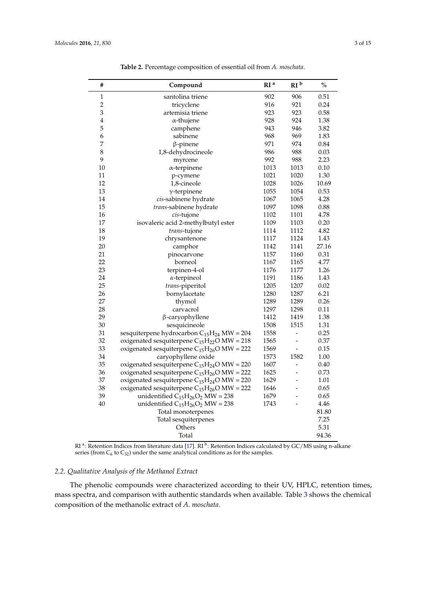<span id="page-2-0"></span>L,

| #              | Compound                                          | RI <sup>a</sup> | RI <sup>b</sup> | $\%$  |
|----------------|---------------------------------------------------|-----------------|-----------------|-------|
| $\,1$          | santolina triene                                  | 902             | 906             | 0.51  |
| $\overline{c}$ | tricyclene                                        |                 | 921             | 0.24  |
| 3              | artemisia triene                                  |                 | 923             | 0.58  |
| $\overline{4}$ | $\alpha$ -thujene                                 | 928             | 924             | 1.38  |
| 5              | camphene                                          | 943             | 946             | 3.82  |
| 6              | sabinene                                          | 968             | 969             | 1.83  |
| 7              | $\beta$ -pinene                                   | 971             | 974             | 0.84  |
| 8              | 1,8-dehydrocineole                                | 986             | 988             | 0.03  |
| 9              | myrcene                                           | 992             | 988             | 2.23  |
| 10             | $\alpha$ -terpinene                               | 1013            | 1013            | 0.10  |
| 11             | p-cymene                                          | 1021            | 1020            | 1.30  |
| 12             | 1,8-cineole                                       | 1028            | 1026            | 10.69 |
| 13             | $\gamma$ -terpinene                               | 1055            | 1054            | 0.53  |
| 14             | cis-sabinene hydrate                              | 1067            | 1065            | 4.28  |
| 15             | trans-sabinene hydrate                            | 1097            | 1098            | 0.88  |
| 16             | cis-tujone                                        | 1102            | 1101            | 4.78  |
| 17             | isovaleric acid 2-methylbutyl ester               | 1109            | 1103            | 0.20  |
| 18             | trans-tujone                                      | 1114            | 1112            | 4.82  |
| 19             | chrysantenone                                     | 1117            | 1124            | 1.43  |
| 20             | camphor                                           | 1142            | 1141            | 27.16 |
| 21             | pinocarvone                                       | 1157            | 1160            | 0.31  |
| 22             | borneol                                           | 1167            | 1165            | 4.77  |
| 23             | terpinen-4-ol                                     | 1176            | 1177            | 1.26  |
| 24             | $\alpha$ -terpineol                               | 1191            | 1186            | 1.43  |
| 25             | trans-piperitol                                   | 1205            | 1207            | 0.02  |
| 26             | bornylacetate                                     | 1280            | 1287            | 6.21  |
| 27             | thymol                                            | 1289            | 1289            | 0.26  |
| 28             | carvacrol                                         | 1297            | 1298            | 0.11  |
| 29             | β-caryophyllene                                   | 1412            | 1419            | 1.38  |
| 30             | sesquicineole                                     | 1508            | 1515            | 1.31  |
| 31             | sesquiterpene hydrocarbon $C_{15}H_{24}$ MW = 204 | 1558            | $\blacksquare$  | 0.25  |
| 32             | oxigenated sesquiterpene $C_{15}H_{22}O$ MW = 218 | 1565            | -               | 0.37  |
| 33             | oxigenated sesquiterpene $C_{15}H_{26}O$ MW = 222 | 1569            | ÷,              | 0.15  |
| 34             | caryophyllene oxide                               | 1573            | 1582            | 1.00  |
| 35             | oxigenated sesquiterpene $C_{15}H_{24}O$ MW = 220 | 1607            |                 | 0.40  |
| 36             | oxigenated sesquiterpene $C_{15}H_{26}O$ MW = 222 | 1625            | $\overline{a}$  | 0.73  |
| 37             | oxigenated sesquiterpene $C_{15}H_{24}O$ MW = 220 | 1629            |                 | 1.01  |
| 38             | oxigenated sesquiterpene $C_{15}H_{26}O$ MW = 222 | 1646            |                 | 0.65  |
| 39             | unidentified $C_{15}H_{26}O_2$ MW = 238           | 1679            |                 | 0.65  |
| 40             | unidentified $C_{15}H_{26}O_2$ MW = 238           | 1743            |                 | 4.46  |
|                | Total monoterpenes                                |                 |                 | 81.80 |
|                | Total sesquiterpenes                              |                 |                 | 7.25  |
|                | Others                                            |                 |                 | 5.31  |
|                | Total                                             |                 |                 | 94.36 |

**Table 2.** Percentage composition of essential oil from *A. moschata*.

RI <sup>a</sup>: Retention Indices from literature data [\[17\]](#page-12-7). RI <sup>b</sup>: Retention Indices calculated by GC/MS using n-alkane series (from  $C_6$  to  $C_{32}$ ) under the same analytical conditions as for the samples.

# *2.2. Qualitative Analysis of the Methanol Extract*

The phenolic compounds were characterized according to their UV, HPLC, retention times, mass spectra, and comparison with authentic standards when available. Table [3](#page-3-0) shows the chemical composition of the methanolic extract of *A. moschata*.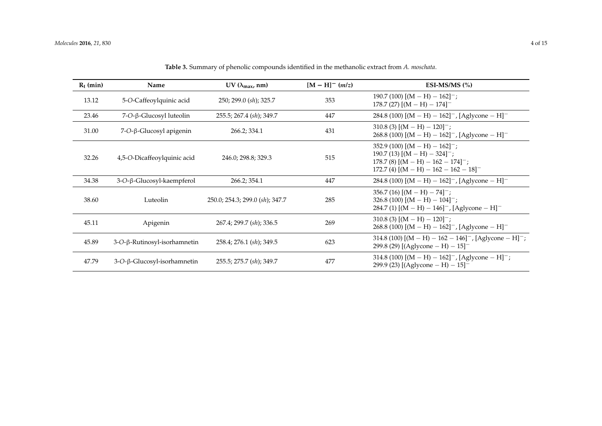<span id="page-3-0"></span>

| $R_t$ (min) | Name                                    | UV ( $\lambda_{\text{max}}$ , nm) | $[M - H]^- (m/z)$ | ESI-MS/MS $(%)$                                                                                                                                                             |
|-------------|-----------------------------------------|-----------------------------------|-------------------|-----------------------------------------------------------------------------------------------------------------------------------------------------------------------------|
| 13.12       | 5-O-Caffeoylquinic acid                 | 250; 299.0 (sh); 325.7            | 353               | $190.7(100)$ $[(M - H) - 162]^{-}$ ;<br>178.7 (27) $[(M - H) - 174]$ <sup>-1</sup>                                                                                          |
| 23.46       | $7$ -O- $\beta$ -Glucosyl luteolin      | 255.5; 267.4 (sh); 349.7          | 447               | 284.8 (100) [(M – H) – 162] <sup>-</sup> , [Aglycone – H] <sup>-</sup>                                                                                                      |
| 31.00       | 7-O-β-Glucosyl apigenin                 | 266.2; 334.1                      | 431               | $310.8$ (3) $[(M - H) - 120]^{-}$ ;<br>268.8 (100) $[(M - H) - 162]^{-}$ , [Aglycone - H] <sup>-</sup>                                                                      |
| 32.26       | 4,5-O-Dicaffeoylquinic acid             | 246.0; 298.8; 329.3               | 515               | 352.9 (100) $[(M - H) - 162]^{-}$ ;<br>190.7 (13) $[(M - H) - 324]^{-}$ ;<br>$178.7(8)$ [(M – H) – $162 - 174$ ] <sup>-</sup> ;<br>$172.7$ (4) $[(M - H) - 162 - 162 - 18]$ |
| 34.38       | 3-O-β-Glucosyl-kaempferol               | 266.2; 354.1                      | 447               | 284.8 (100) $[(M - H) - 162]^{-}$ , [Aglycone - H] <sup>-</sup>                                                                                                             |
| 38.60       | Luteolin                                | 250.0; 254.3; 299.0 (sh); 347.7   | 285               | $356.7(16) [(M - H) - 74]^{-}$ ;<br>$326.8(100)$ $[(M - H) - 104]^{-}$ ;<br>284.7 (1) $[(M - H) - 146]^-$ , [Aglycone - H] <sup>-</sup>                                     |
| 45.11       | Apigenin                                | 267.4; 299.7 (sh); 336.5          | 269               | $310.8$ (3) $[(M - H) - 120]^{-}$ ;<br>268.8 (100) [(M – H) – 162] <sup>-</sup> , [Aglycone – H] <sup>-</sup>                                                               |
| 45.89       | $3-O$ - $\beta$ -Rutinosyl-isorhamnetin | 258.4; 276.1 (sh); 349.5          | 623               | 314.8 (100) $[(M - H) - 162 - 146]$ , $[Aglycone - H]$ ;<br>299.8 (29) [(Aglycone - H) - $15$ ] <sup>-</sup>                                                                |
| 47.79       | $3-O$ - $\beta$ -Glucosyl-isorhamnetin  | 255.5; 275.7 (sh); 349.7          | 477               | 314.8 (100) $[(M - H) - 162]^{-}$ , [Aglycone - H] <sup>-</sup> ;<br>299.9 (23) [(Aglycone - H) - $15$ ] <sup>-</sup>                                                       |

**Table 3.** Summary of phenolic compounds identified in the methanolic extract from *A. moschata*.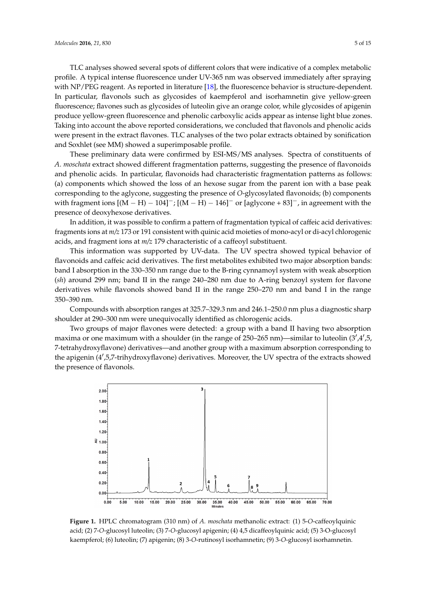TLC analyses showed several spots of different colors that were indicative of a complex metabolic profile. A typical intense fluorescence under UV-365 nm was observed immediately after spraying with NP/PEG reagent. As reported in literature [\[18\]](#page-12-8), the fluorescence behavior is structure-dependent. In particular, flavonols such as glycosides of kaempferol and isorhamnetin give yellow-green fluorescence; flavones such as glycosides of luteolin give an orange color, while glycosides of apigenin produce yellow-green fluorescence and phenolic carboxylic acids appear as intense light blue zones. Taking into account the above reported considerations, we concluded that flavonols and phenolic acids were present in the extract flavones. TLC analyses of the two polar extracts obtained by sonification and Soxhlet (see MM) showed a superimposable profile. met y thow green more scence and prichare earlowyne action uppear as michael ught stately

These preliminary data were confirmed by ESI-MS/MS analyses. Spectra of constituents of A. moschata extract showed different fragmentation patterns, suggesting the presence of flavonoids and phenolic acids. In particular, flavonoids had characteristic fragmentation patterns as follows: (a) components which showed the loss of an hexose sugar from the parent ion with a base peak corresponding to the aglycone, suggesting the presence of *O*-glycosylated flavonoids; (b) components with fragment ions  $[(M - H) - 104]^{-}$ ;  $[(M - H) - 146]^{-}$  or  $[$ aglycone + 83]<sup>-</sup>, in agreement with the presence of deoxyhexose derivatives.  $\frac{1}{2}$  particular,  $\frac{1}{2}$   $\frac{1}{2}$   $\frac{1}{2}$   $\frac{1}{2}$   $\frac{1}{2}$   $\frac{1}{2}$   $\frac{1}{2}$   $\frac{1}{2}$   $\frac{1}{2}$   $\frac{1}{2}$   $\frac{1}{2}$   $\frac{1}{2}$   $\frac{1}{2}$   $\frac{1}{2}$   $\frac{1}{2}$   $\frac{1}{2}$   $\frac{1}{2}$   $\frac{1}{2}$   $\frac{1}{2}$   $\frac{1}{2}$ 

In addition, it was possible to confirm a pattern of fragmentation typical of caffeic acid derivatives: fragments ions at *m/z* 173 or 191 consistent with quinic acid moieties of mono-acyl or di-acyl chlorogenic acids, and fragment ions at *m/z* 179 characteristic of a caffeoyl substituent.

This information was supported by UV-data. The UV spectra showed typical behavior of flavonoids and caffeic acid derivatives. The first metabolites exhibited two major absorption bands: band I absorption in the 330–350 nm range due to the B-ring cynnamoyl system with weak absorption (sh) around 299 nm; band II in the range 240–280 nm due to A-ring benzoyl system for flavone derivatives while flavonols showed band II in the range  $250-270$  nm and band I in the range derivatives. 350–390 nm. band I absorption in the 330–350 nm range 250–270 nm and band I in the B (*sh*) around 299 nm; band II in the range 240–280 nm due to A-ring benzoyl system for flavone

Compounds with absorption ranges at 325.7–329.3 nm and 246.1–250.0 nm plus a diagnostic sharp shoulder at 290–300 nm were unequivocally identified as chlorogenic acids.

Two groups of major flavones were detected: a group with a band II having two absorption maxima or one maximum with a shoulder (in the range of 250–265 nm)—similar to luteolin (3',4',5, 7-tetrahydroxyflavone) derivatives—and another group with a maximum absorption corresponding to the apigenin (4',5,7-trihydroxyflavone) derivatives. Moreover, the UV spectra of the extracts showed the presence of flavonols. the presence of flavonols.  $t_{\text{reson}}$  of flavone) derivatives. Moreover, the UV spectra of the extracts showed showed showed showed showed showed showed showed showed showed showed showed showed showed showed showed showed showed showed showed show

<span id="page-4-0"></span>

**Figure 1.** HPLC chromatogram (310 nm) of *A. moschata* methanolic extract: (1) 5-*O*-caffeoylquinic acid; Figure 1. HPLC chromatogram (310 nm) of A. *moschata* methanolic extract: (1) 5-O-caffeoylquinic acid; (2) 7-O-glucosyl luteolin; (3) 7-O-glucosyl apigenin; (4) 4,5 dicaffeoylquinic acid; (5) 3-O-glucosyl kaempferol; (6) luteolin; (7) apigenin; (8) 3-*O*-rutinosyl isorhamnetin; (9) 3-*O*-glucosyl isorhamnetin.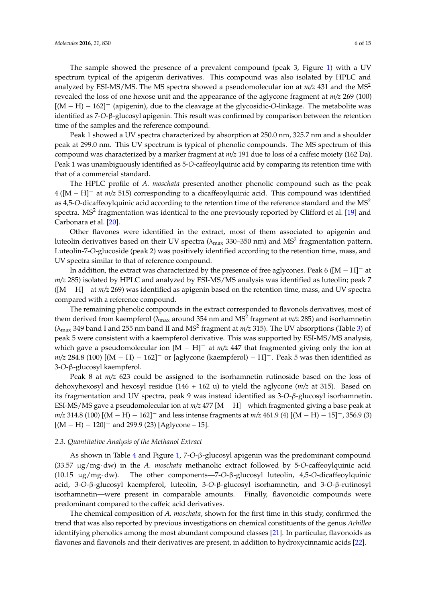The sample showed the presence of a prevalent compound (peak 3, Figure [1\)](#page-4-0) with a UV spectrum typical of the apigenin derivatives. This compound was also isolated by HPLC and analyzed by ESI-MS/MS. The MS spectra showed a pseudomolecular ion at  $m/z$  431 and the MS<sup>2</sup> revealed the loss of one hexose unit and the appearance of the aglycone fragment at *m/z* 269 (100)  $[(M - H) - 162]$ <sup>-</sup> (apigenin), due to the cleavage at the glycosidic-O-linkage. The metabolite was identified as 7-*O*-β-glucosyl apigenin. This result was confirmed by comparison between the retention time of the samples and the reference compound.

Peak 1 showed a UV spectra characterized by absorption at 250.0 nm, 325.7 nm and a shoulder peak at 299.0 nm. This UV spectrum is typical of phenolic compounds. The MS spectrum of this compound was characterized by a marker fragment at *m/z* 191 due to loss of a caffeic moiety (162 Da). Peak 1 was unambiguously identified as 5-*O*-caffeoylquinic acid by comparing its retention time with that of a commercial standard.

The HPLC profile of *A. moschata* presented another phenolic compound such as the peak  $4 ([M - H]$ <sup>-</sup> at  $m/z$  515) corresponding to a dicaffeoylquinic acid. This compound was identified as 4,5-*O*-dicaffeoylquinic acid according to the retention time of the reference standard and the MS<sup>2</sup> spectra. MS<sup>2</sup> fragmentation was identical to the one previously reported by Clifford et al. [\[19\]](#page-12-9) and Carbonara et al. [\[20\]](#page-12-10).

Other flavones were identified in the extract, most of them associated to apigenin and luteolin derivatives based on their UV spectra ( $\lambda_{\rm max}$  330–350 nm) and MS<sup>2</sup> fragmentation pattern. Luteolin-7-*O*-glucoside (peak 2) was positively identified according to the retention time, mass, and UV spectra similar to that of reference compound.

In addition, the extract was characterized by the presence of free aglycones. Peak 6 ( $[M - H]$ <sup>-</sup> at *m*/z 285) isolated by HPLC and analyzed by ESI-MS/MS analysis was identified as luteolin; peak 7  $([M - H]^{-}$  at  $m/z$  269) was identified as apigenin based on the retention time, mass, and UV spectra compared with a reference compound.

The remaining phenolic compounds in the extract corresponded to flavonols derivatives, most of them derived from kaempferol (λ<sub>max</sub> around 354 nm and MS<sup>2</sup> fragment at *m/z* 285) and isorhamnetin ( $\lambda_{\rm max}$  349 band I and 255 nm band II and MS<sup>2</sup> fragment at  $m/z$  315). The UV absorptions (Table [3\)](#page-3-0) of peak 5 were consistent with a kaempferol derivative. This was supported by ESI-MS/MS analysis, which gave a pseudomolecular ion  $[M - H]$ <sup>-</sup> at  $m/z$  447 that fragmented giving only the ion at  $m/z$  284.8 (100)  $[(M - H) - 162]$ <sup>-</sup> or [aglycone (kaempferol) – H]<sup>-</sup>. Peak 5 was then identified as 3-*O*-β-glucosyl kaempferol.

Peak 8 at *m/z* 623 could be assigned to the isorhamnetin rutinoside based on the loss of dehoxyhexosyl and hexosyl residue (146 + 162 u) to yield the aglycone (*m/z* at 315). Based on its fragmentation and UV spectra, peak 9 was instead identified as 3-*O*-*β*-glucosyl isorhamnetin. ESI-MS/MS gave a pseudomolecular ion at  $m/z$  477  $[M - H]$ <sup>-</sup> which fragmented giving a base peak at  $m/z$  314.8 (100)  $[(M - H) - 162]$ <sup>-</sup> and less intense fragments at  $m/z$  461.9 (4)  $[(M - H) - 15]$ <sup>-</sup>, 356.9 (3)  $[(M - H) - 120]$ <sup>-</sup> and 299.9 (23) [Aglycone – 15].

# *2.3. Quantitative Analysis of the Methanol Extract*

As shown in Table [4](#page-6-0) and Figure [1,](#page-4-0) 7-*O*-β-glucosyl apigenin was the predominant compound (33.57 µg/mg¨ dw) in the *A. moschata* methanolic extract followed by 5-*O*-caffeoylquinic acid (10.15 µg/mg¨ dw). The other components—7-*O*-β-glucosyl luteolin, 4,5-*O*-dicaffeoylquinic acid, 3-*O*-β-glucosyl kaempferol, luteolin, 3-*O*-β-glucosyl isorhamnetin, and 3-*O*-β-rutinosyl isorhamnetin—were present in comparable amounts. Finally, flavonoidic compounds were predominant compared to the caffeic acid derivatives.

The chemical composition of *A. moschata*, shown for the first time in this study, confirmed the trend that was also reported by previous investigations on chemical constituents of the genus *Achillea* identifying phenolics among the most abundant compound classes [\[21\]](#page-12-11). In particular, flavonoids as flavones and flavonols and their derivatives are present, in addition to hydroxycinnamic acids [\[22\]](#page-12-12).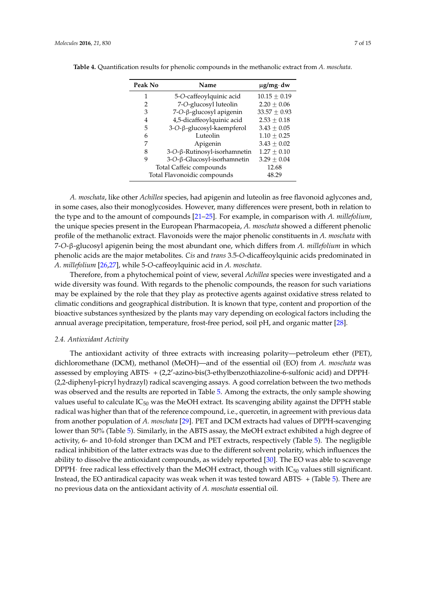| Peak No<br>Name                      |                              | $\mu$ g/mg·dw  |  |
|--------------------------------------|------------------------------|----------------|--|
| 1                                    | 5-O-caffeoylquinic acid      | $10.15 + 0.19$ |  |
| 2                                    | 7-O-glucosyl luteolin        | $2.20 + 0.06$  |  |
| 3                                    | 7-O-β-glucosyl apigenin      | $33.57 + 0.93$ |  |
| 4                                    | 4,5-dicaffeoylquinic acid    | $2.53 + 0.18$  |  |
| 5                                    | 3-O-β-glucosyl-kaempferol    | $3.43 + 0.05$  |  |
| 6                                    | Luteolin                     | $1.10 + 0.25$  |  |
| 7                                    | Apigenin                     | $3.43 + 0.02$  |  |
| 8                                    | 3-O-β-Rutinosyl-isorhamnetin | $1.27 + 0.10$  |  |
| 9                                    | 3-O-β-Glucosyl-isorhamnetin  | $3.29 + 0.04$  |  |
| Total Caffeic compounds              | 12.68                        |                |  |
| Total Flavonoidic compounds<br>48.29 |                              |                |  |

<span id="page-6-0"></span>**Table 4.** Quantification results for phenolic compounds in the methanolic extract from *A. moschata*.

*A. moschata*, like other *Achillea* species, had apigenin and luteolin as free flavonoid aglycones and, in some cases, also their monoglycosides. However, many differences were present, both in relation to the type and to the amount of compounds [\[21](#page-12-11)[–25\]](#page-12-13). For example, in comparison with *A. millefolium*, the unique species present in the European Pharmacopeia, *A. moschata* showed a different phenolic profile of the methanolic extract. Flavonoids were the major phenolic constituents in *A. moschata* with 7-*O*-β-glucosyl apigenin being the most abundant one, which differs from *A. millefolium* in which phenolic acids are the major metabolites. *Cis* and *trans* 3.5-*O*-dicaffeoylquinic acids predominated in *A. millefolium* [\[26,](#page-12-14)[27\]](#page-12-15), while 5-*O*-caffeoylquinic acid in *A. moschata*.

Therefore, from a phytochemical point of view, several *Achillea* species were investigated and a wide diversity was found. With regards to the phenolic compounds, the reason for such variations may be explained by the role that they play as protective agents against oxidative stress related to climatic conditions and geographical distribution. It is known that type, content and proportion of the bioactive substances synthesized by the plants may vary depending on ecological factors including the annual average precipitation, temperature, frost-free period, soil pH, and organic matter [\[28\]](#page-13-0).

#### *2.4. Antioxidant Activity*

The antioxidant activity of three extracts with increasing polarity—petroleum ether (PET), dichloromethane (DCM), methanol (MeOH)—and of the essential oil (EO) from *A. moschata* was assessed by employing ABTS· + (2,2'-azino-bis(3-ethylbenzothiazoline-6-sulfonic acid) and DPPH-(2,2-diphenyl-picryl hydrazyl) radical scavenging assays. A good correlation between the two methods was observed and the results are reported in Table [5.](#page-7-0) Among the extracts, the only sample showing values useful to calculate  $IC_{50}$  was the MeOH extract. Its scavenging ability against the DPPH stable radical was higher than that of the reference compound, i.e., quercetin, in agreement with previous data from another population of *A. moschata* [\[29\]](#page-13-1). PET and DCM extracts had values of DPPH-scavenging lower than 50% (Table [5\)](#page-7-0). Similarly, in the ABTS assay, the MeOH extract exhibited a high degree of activity, 6- and 10-fold stronger than DCM and PET extracts, respectively (Table [5\)](#page-7-0). The negligible radical inhibition of the latter extracts was due to the different solvent polarity, which influences the ability to dissolve the antioxidant compounds, as widely reported [\[30\]](#page-13-2). The EO was able to scavenge DPPH $\cdot$  free radical less effectively than the MeOH extract, though with IC<sub>50</sub> values still significant. Instead, the EO antiradical capacity was weak when it was tested toward ABTS $\cdot$  + (Table [5\)](#page-7-0). There are no previous data on the antioxidant activity of *A. moschata* essential oil.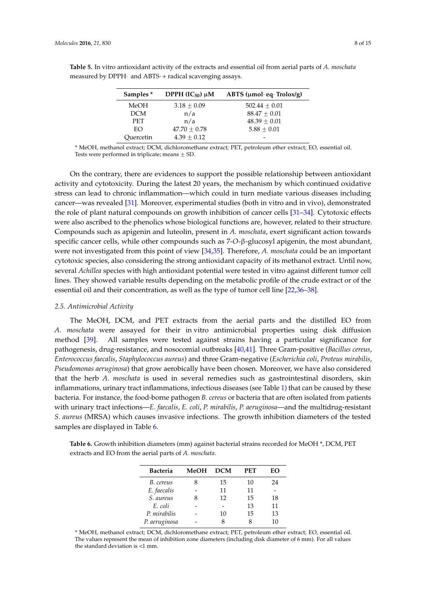| Samples <sup>*</sup> | DPPH $(IC_{50}) \mu M$ | ABTS ( $\mu$ mol·eq·Trolox/g) |
|----------------------|------------------------|-------------------------------|
| MeOH                 | $3.18 + 0.09$          | $502.44 + 0.01$               |
| <b>DCM</b>           | n/a                    | $88.47 + 0.01$                |
| <b>PET</b>           | n/a                    | $48.39 + 0.01$                |
| EO                   | $47.70 + 0.78$         | $5.88 + 0.01$                 |
| Ouercetin            | $4.39 + 0.12$          |                               |

<span id="page-7-0"></span>**Table 5.** In vitro antioxidant activity of the extracts and essential oil from aerial parts of *A. moschata* measured by DPPH $\cdot$  and ABTS $\cdot$  + radical scavenging assays.

\* MeOH, methanol extract; DCM, dichloromethane extract; PET, petroleum ether extract; EO, essential oil. Tests were performed in triplicate; means  $\pm$  SD.

On the contrary, there are evidences to support the possible relationship between antioxidant activity and cytotoxicity. During the latest 20 years, the mechanism by which continued oxidative stress can lead to chronic inflammation—which could in turn mediate various diseases including cancer—was revealed [\[31\]](#page-13-3). Moreover, experimental studies (both in vitro and in vivo), demonstrated the role of plant natural compounds on growth inhibition of cancer cells [\[31](#page-13-3)[–34\]](#page-13-4). Cytotoxic effects were also ascribed to the phenolics whose biological functions are, however, related to their structure. Compounds such as apigenin and luteolin, present in *A. moschata*, exert significant action towards specific cancer cells, while other compounds such as 7-*O*-β-glucosyl apigenin, the most abundant, were not investigated from this point of view [\[34](#page-13-4)[,35\]](#page-13-5). Therefore, *A. moschata* could be an important cytotoxic species, also considering the strong antioxidant capacity of its methanol extract. Until now, several *Achillea* species with high antioxidant potential were tested in vitro against different tumor cell lines. They showed variable results depending on the metabolic profile of the crude extract or of the essential oil and their concentration, as well as the type of tumor cell line [\[22,](#page-12-12)[36–](#page-13-6)[38\]](#page-13-7).

#### *2.5. Antimicrobial Activity*

The MeOH, DCM, and PET extracts from the aerial parts and the distilled EO from *A. moschata* were assayed for their in vitro antimicrobial properties using disk diffusion method [\[39\]](#page-13-8). All samples were tested against strains having a particular significance for pathogenesis, drug-resistance, and nosocomial outbreaks [\[40](#page-13-9)[,41\]](#page-13-10). Three Gram-positive (*Bacillus cereus*, *Enterococcus faecalis*, *Staphylococcus aureus*) and three Gram-negative (*Escherichia coli*, *Proteus mirabilis*, *Pseudomonas aeruginosa*) that grow aerobically have been chosen. Moreover, we have also considered that the herb *A. moschata* is used in several remedies such as gastrointestinal disorders, skin inflammations, urinary tract inflammations, infectious diseases (see Table [1\)](#page-1-0) that can be caused by these bacteria. For instance, the food-borne pathogen *B. cereus* or bacteria that are often isolated from patients with urinary tract infections—*E. faecalis*, *E. coli*, *P. mirabilis*, *P. aeruginosa*—and the multidrug-resistant *S. aureus* (MRSA) which causes invasive infections. The growth inhibition diameters of the tested samples are displayed in Table [6.](#page-7-1)

<span id="page-7-1"></span>**Table 6.** Growth inhibition diameters (mm) against bacterial strains recorded for MeOH \*, DCM, PET extracts and EO from the aerial parts of *A. moschata*.

| <b>Bacteria</b> | <b>MeOH</b> | <b>DCM</b> | PET | EΟ |
|-----------------|-------------|------------|-----|----|
| B. cereus       |             | 15         | 10  | 24 |
| E. faecalis     |             | 11         | 11  |    |
| S. aureus       |             | 12         | 15  | 18 |
| E. coli         |             |            | 13  | 11 |
| P. mirabilis    |             | 10         | 15  | 13 |
| P. aeruginosa   |             |            |     | 10 |

\* MeOH, methanol extract; DCM, dichloromethane extract; PET, petroleum ether extract; EO, essential oil. The values represent the mean of inhibition zone diameters (including disk diameter of 6 mm). For all values the standard deviation is <1 mm.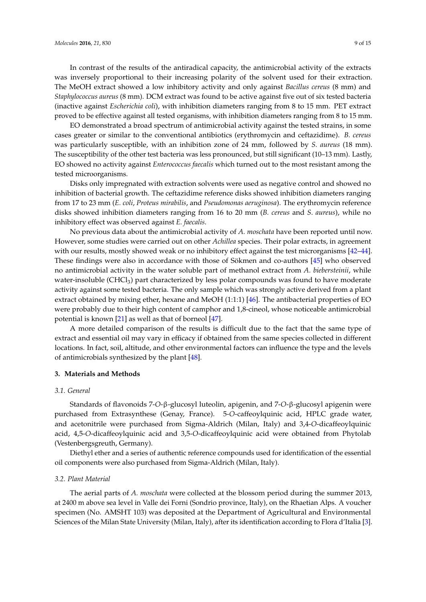In contrast of the results of the antiradical capacity, the antimicrobial activity of the extracts was inversely proportional to their increasing polarity of the solvent used for their extraction. The MeOH extract showed a low inhibitory activity and only against *Bacillus cereus* (8 mm) and *Staphylococcus aureus* (8 mm). DCM extract was found to be active against five out of six tested bacteria (inactive against *Escherichia coli*), with inhibition diameters ranging from 8 to 15 mm. PET extract proved to be effective against all tested organisms, with inhibition diameters ranging from 8 to 15 mm.

EO demonstrated a broad spectrum of antimicrobial activity against the tested strains, in some cases greater or similar to the conventional antibiotics (erythromycin and ceftazidime). *B. cereus* was particularly susceptible, with an inhibition zone of 24 mm, followed by *S. aureus* (18 mm). The susceptibility of the other test bacteria was less pronounced, but still significant (10–13 mm). Lastly, EO showed no activity against *Enterococcus faecalis* which turned out to the most resistant among the tested microorganisms.

Disks only impregnated with extraction solvents were used as negative control and showed no inhibition of bacterial growth. The ceftazidime reference disks showed inhibition diameters ranging from 17 to 23 mm (*E. coli*, *Proteus mirabilis*, and *Pseudomonas aeruginosa*). The erythromycin reference disks showed inhibition diameters ranging from 16 to 20 mm (*B. cereus* and *S*. *aureus*), while no inhibitory effect was observed against *E. faecalis*.

No previous data about the antimicrobial activity of *A. moschata* have been reported until now. However, some studies were carried out on other *Achillea* species. Their polar extracts, in agreement with our results, mostly showed weak or no inhibitory effect against the test microrganisms [\[42–](#page-13-11)[44\]](#page-13-12). These findings were also in accordance with those of Sökmen and co-authors [\[45\]](#page-13-13) who observed no antimicrobial activity in the water soluble part of methanol extract from *A. biebersteinii*, while water-insoluble  $(CHCl<sub>3</sub>)$  part characterized by less polar compounds was found to have moderate activity against some tested bacteria. The only sample which was strongly active derived from a plant extract obtained by mixing ether, hexane and MeOH (1:1:1) [\[46\]](#page-13-14). The antibacterial properties of EO were probably due to their high content of camphor and 1,8-cineol, whose noticeable antimicrobial potential is known [\[21\]](#page-12-11) as well as that of borneol [\[47\]](#page-13-15).

A more detailed comparison of the results is difficult due to the fact that the same type of extract and essential oil may vary in efficacy if obtained from the same species collected in different locations. In fact, soil, altitude, and other environmental factors can influence the type and the levels of antimicrobials synthesized by the plant [\[48\]](#page-14-0).

#### **3. Materials and Methods**

#### *3.1. General*

Standards of flavonoids 7-*O*-β-glucosyl luteolin, apigenin, and 7-*O*-β-glucosyl apigenin were purchased from Extrasynthese (Genay, France). 5-*O*-caffeoylquinic acid, HPLC grade water, and acetonitrile were purchased from Sigma-Aldrich (Milan, Italy) and 3,4-*O*-dicaffeoylquinic acid, 4,5-*O*-dicaffeoylquinic acid and 3,5-*O*-dicaffeoylquinic acid were obtained from Phytolab (Vestenbergsgreuth, Germany).

Diethyl ether and a series of authentic reference compounds used for identification of the essential oil components were also purchased from Sigma-Aldrich (Milan, Italy).

#### *3.2. Plant Material*

The aerial parts of *A. moschata* were collected at the blossom period during the summer 2013, at 2400 m above sea level in Valle dei Forni (Sondrio province, Italy), on the Rhaetian Alps. A voucher specimen (No. AMSHT 103) was deposited at the Department of Agricultural and Environmental Sciences of the Milan State University (Milan, Italy), after its identification according to Flora d'Italia [\[3\]](#page-11-2).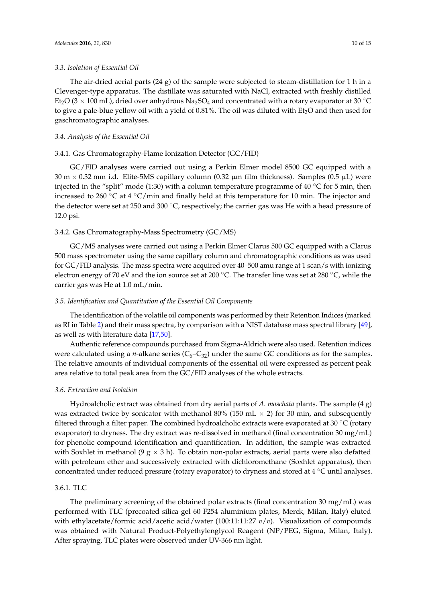#### *3.3. Isolation of Essential Oil*

The air-dried aerial parts  $(24 g)$  of the sample were subjected to steam-distillation for 1 h in a Clevenger-type apparatus. The distillate was saturated with NaCl, extracted with freshly distilled Et<sub>2</sub>O (3  $\times$  100 mL), dried over anhydrous Na<sub>2</sub>SO<sub>4</sub> and concentrated with a rotary evaporator at 30 °C to give a pale-blue yellow oil with a yield of 0.81%. The oil was diluted with  $Et<sub>2</sub>O$  and then used for gaschromatographic analyses.

# *3.4. Analysis of the Essential Oil*

## 3.4.1. Gas Chromatography-Flame Ionization Detector (GC/FID)

GC/FID analyses were carried out using a Perkin Elmer model 8500 GC equipped with a  $30 \text{ m} \times 0.32 \text{ mm}$  i.d. Elite-5MS capillary column (0.32  $\mu$ m film thickness). Samples (0.5  $\mu$ L) were injected in the "split" mode (1:30) with a column temperature programme of 40  $\degree$ C for 5 min, then increased to 260 °C at 4 °C/min and finally held at this temperature for 10 min. The injector and the detector were set at 250 and 300  $\degree$ C, respectively; the carrier gas was He with a head pressure of 12.0 psi.

## 3.4.2. Gas Chromatography-Mass Spectrometry (GC/MS)

GC/MS analyses were carried out using a Perkin Elmer Clarus 500 GC equipped with a Clarus 500 mass spectrometer using the same capillary column and chromatographic conditions as was used for GC/FID analysis. The mass spectra were acquired over 40–500 amu range at 1 scan/s with ionizing electron energy of 70 eV and the ion source set at 200 °C. The transfer line was set at 280 °C, while the carrier gas was He at 1.0 mL/min.

## *3.5. Identification and Quantitation of the Essential Oil Components*

The identification of the volatile oil components was performed by their Retention Indices (marked as RI in Table [2\)](#page-2-0) and their mass spectra, by comparison with a NIST database mass spectral library [\[49\]](#page-14-1), as well as with literature data [\[17,](#page-12-7)[50\]](#page-14-2).

Authentic reference compounds purchased from Sigma-Aldrich were also used. Retention indices were calculated using a *n*-alkane series  $(C_6-C_{32})$  under the same GC conditions as for the samples. The relative amounts of individual components of the essential oil were expressed as percent peak area relative to total peak area from the GC/FID analyses of the whole extracts.

## *3.6. Extraction and Isolation*

Hydroalcholic extract was obtained from dry aerial parts of *A. moschata* plants. The sample (4 g) was extracted twice by sonicator with methanol 80% (150 mL  $\times$  2) for 30 min, and subsequently filtered through a filter paper. The combined hydroalcholic extracts were evaporated at 30  $\degree$ C (rotary evaporator) to dryness. The dry extract was re-dissolved in methanol (final concentration 30 mg/mL) for phenolic compound identification and quantification. In addition, the sample was extracted with Soxhlet in methanol (9  $g \times 3$  h). To obtain non-polar extracts, aerial parts were also defatted with petroleum ether and successively extracted with dichloromethane (Soxhlet apparatus), then concentrated under reduced pressure (rotary evaporator) to dryness and stored at 4  $\degree$ C until analyses.

# 3.6.1. TLC

The preliminary screening of the obtained polar extracts (final concentration  $30 \text{ mg/mL}$ ) was performed with TLC (precoated silica gel 60 F254 aluminium plates, Merck, Milan, Italy) eluted with ethylacetate/formic acid/acetic acid/water (100:11:11:27  $v/v$ ). Visualization of compounds was obtained with Natural Product-Polyethylenglycol Reagent (NP/PEG, Sigma, Milan, Italy). After spraying, TLC plates were observed under UV-366 nm light.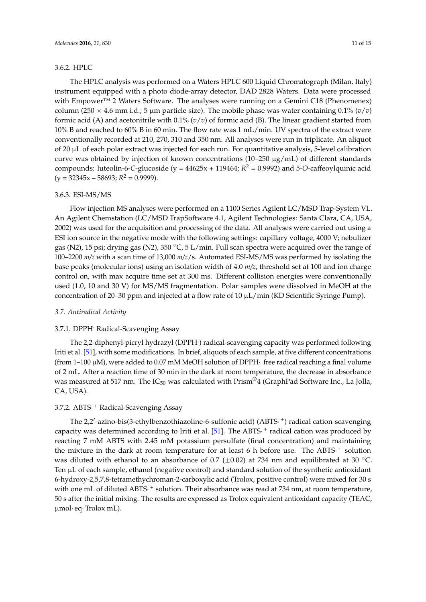#### 3.6.2. HPLC

The HPLC analysis was performed on a Waters HPLC 600 Liquid Chromatograph (Milan, Italy) instrument equipped with a photo diode-array detector, DAD 2828 Waters. Data were processed with Empower™ 2 Waters Software. The analyses were running on a Gemini C18 (Phenomenex) column (250  $\times$  4.6 mm i.d.; 5 µm particle size). The mobile phase was water containing 0.1% ( $v/v$ ) formic acid (A) and acetonitrile with 0.1% (*v*/*v*) of formic acid (B). The linear gradient started from 10% B and reached to 60% B in 60 min. The flow rate was 1 mL/min. UV spectra of the extract were conventionally recorded at 210, 270, 310 and 350 nm. All analyses were run in triplicate. An aliquot of 20 µL of each polar extract was injected for each run. For quantitative analysis, 5-level calibration curve was obtained by injection of known concentrations (10–250  $\mu$ g/mL) of different standards

#### 3.6.3. ESI-MS/MS

 $(y = 32345x - 58693; R^2 = 0.9999)$ .

Flow injection MS analyses were performed on a 1100 Series Agilent LC/MSD Trap-System VL. An Agilent Chemstation (LC/MSD TrapSoftware 4.1, Agilent Technologies: Santa Clara, CA, USA, 2002) was used for the acquisition and processing of the data. All analyses were carried out using a ESI ion source in the negative mode with the following settings: capillary voltage, 4000 V; nebulizer gas (N2), 15 psi; drying gas (N2), 350 °C, 5 L/min. Full scan spectra were acquired over the range of 100–2200 *m/z* with a scan time of 13,000 *m/z*/s. Automated ESI-MS/MS was performed by isolating the base peaks (molecular ions) using an isolation width of 4.0 *m/z*, threshold set at 100 and ion charge control on, with max acquire time set at 300 ms. Different collision energies were conventionally used (1.0, 10 and 30 V) for MS/MS fragmentation. Polar samples were dissolved in MeOH at the concentration of 20–30 ppm and injected at a flow rate of 10 µL/min (KD Scientific Syringe Pump).

compounds: luteolin-6-*C*-glucoside (y = 44625x + 119464; *R* <sup>2</sup> = 0.9992) and 5-*O*-caffeoylquinic acid

#### *3.7. Antiradical Activity*

#### 3.7.1. DPPH**.** Radical-Scavenging Assay

The 2,2-diphenyl-picryl hydrazyl (DPPH**.** ) radical-scavenging capacity was performed following Iriti et al. [\[51\]](#page-14-3), with some modifications. In brief, aliquots of each sample, at five different concentrations (from 1–100  $\mu$ M), were added to 0.07 mM MeOH solution of DPPH $\cdot$  free radical reaching a final volume of 2 mL. After a reaction time of 30 min in the dark at room temperature, the decrease in absorbance was measured at 517 nm. The  $IC_{50}$  was calculated with Prism<sup>®4</sup> (GraphPad Software Inc., La Jolla, CA, USA).

# 3.7.2. ABTS  $^+$  Radical-Scavenging Assay

The 2,2'-azino-bis(3-ethylbenzothiazoline-6-sulfonic acid) (ABTS·<sup>+</sup>) radical cation-scavenging capacity was determined according to Iriti et al.  $[51]$ . The ABTS  $^+$  radical cation was produced by reacting 7 mM ABTS with 2.45 mM potassium persulfate (final concentration) and maintaining the mixture in the dark at room temperature for at least 6 h before use. The ABTS<sup>+</sup> solution was diluted with ethanol to an absorbance of 0.7 ( $\pm$ 0.02) at 734 nm and equilibrated at 30 °C. Ten  $\mu$ L of each sample, ethanol (negative control) and standard solution of the synthetic antioxidant 6-hydroxy-2,5,7,8-tetramethychroman-2-carboxylic acid (Trolox, positive control) were mixed for 30 s with one mL of diluted ABTS  $^+$  solution. Their absorbance was read at 734 nm, at room temperature, 50 s after the initial mixing. The results are expressed as Trolox equivalent antioxidant capacity (TEAC,  $\mu$ mol $\cdot$  eq $\cdot$ Trolox mL).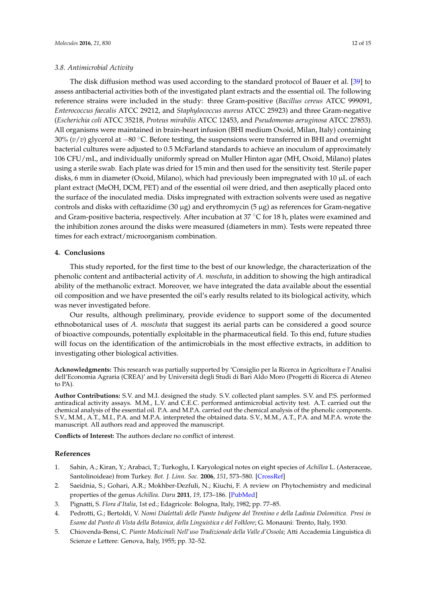#### *3.8. Antimicrobial Activity*

The disk diffusion method was used according to the standard protocol of Bauer et al. [\[39\]](#page-13-8) to assess antibacterial activities both of the investigated plant extracts and the essential oil. The following reference strains were included in the study: three Gram-positive (*Bacillus cereus* ATCC 999091, *Enterococcus faecalis* ATCC 29212, and *Staphylococcus aureus* ATCC 25923) and three Gram-negative (*Escherichia coli* ATCC 35218, *Proteus mirabilis* ATCC 12453, and *Pseudomonas aeruginosa* ATCC 27853). All organisms were maintained in brain-heart infusion (BHI medium Oxoid, Milan, Italy) containing 30% ( $v/v$ ) glycerol at  $-80$  °C. Before testing, the suspensions were transferred in BHI and overnight bacterial cultures were adjusted to 0.5 McFarland standards to achieve an inoculum of approximately 106 CFU/mL, and individually uniformly spread on Muller Hinton agar (MH, Oxoid, Milano) plates using a sterile swab. Each plate was dried for 15 min and then used for the sensitivity test. Sterile paper disks, 6 mm in diameter (Oxoid, Milano), which had previously been impregnated with  $10 \mu L$  of each plant extract (MeOH, DCM, PET) and of the essential oil were dried, and then aseptically placed onto the surface of the inoculated media. Disks impregnated with extraction solvents were used as negative controls and disks with ceftazidime (30  $\mu$ g) and erythromycin (5  $\mu$ g) as references for Gram-negative and Gram-positive bacteria, respectively. After incubation at 37 °C for 18 h, plates were examined and the inhibition zones around the disks were measured (diameters in mm). Tests were repeated three times for each extract/microorganism combination.

## **4. Conclusions**

This study reported, for the first time to the best of our knowledge, the characterization of the phenolic content and antibacterial activity of *A. moschata*, in addition to showing the high antiradical ability of the methanolic extract. Moreover, we have integrated the data available about the essential oil composition and we have presented the oil's early results related to its biological activity, which was never investigated before.

Our results, although preliminary, provide evidence to support some of the documented ethnobotanical uses of *A. moschata* that suggest its aerial parts can be considered a good source of bioactive compounds, potentially exploitable in the pharmaceutical field. To this end, future studies will focus on the identification of the antimicrobials in the most effective extracts, in addition to investigating other biological activities.

**Acknowledgments:** This research was partially supported by 'Consiglio per la Ricerca in Agricoltura e l'Analisi dell'Economia Agraria (CREA)' and by Università degli Studi di Bari Aldo Moro (Progetti di Ricerca di Ateneo to PA).

**Author Contributions:** S.V. and M.I. designed the study. S.V. collected plant samples. S.V. and P.S. performed antiradical activity assays. M.M., L.V. and C.E.C. performed antimicrobial activity test. A.T. carried out the chemical analysis of the essential oil. P.A. and M.P.A. carried out the chemical analysis of the phenolic components. S.V., M.M., A.T., M.I., P.A. and M.P.A. interpreted the obtained data. S.V., M.M., A.T., P.A. and M.P.A. wrote the manuscript. All authors read and approved the manuscript.

**Conflicts of Interest:** The authors declare no conflict of interest.

### **References**

- <span id="page-11-0"></span>1. Sahin, A.; Kiran, Y.; Arabaci, T.; Turkoglu, I. Karyological notes on eight species of *Achillea* L. (Asteraceae, Santolinoideae) from Turkey. *Bot. J. Linn. Soc.* **2006**, *151*, 573–580. [\[CrossRef\]](http://dx.doi.org/10.1111/j.1095-8339.2006.00541.x)
- <span id="page-11-1"></span>2. Saeidnia, S.; Gohari, A.R.; Mokhber-Dezfuli, N.; Kiuchi, F. A review on Phytochemistry and medicinal properties of the genus *Achillea*. *Daru* **2011**, *19*, 173–186. [\[PubMed\]](http://www.ncbi.nlm.nih.gov/pubmed/22615655)
- <span id="page-11-2"></span>3. Pignatti, S. *Flora d'Italia*, 1st ed.; Edagricole: Bologna, Italy, 1982; pp. 77–85.
- <span id="page-11-3"></span>4. Pedrotti, G.; Bertoldi, V. *Nomi Dialettali delle Piante Indigene del Trentino e della Ladinia Dolomitica. Presi in Esame dal Punto di Vista della Botanica, della Linguistica e del Folklore*; G. Monauni: Trento, Italy, 1930.
- 5. Chiovenda-Bensi, C. *Piante Medicinali Nell'uso Tradizionale della Valle d'Ossola*; Atti Accademia Linguistica di Scienze e Lettere: Genova, Italy, 1955; pp. 32–52.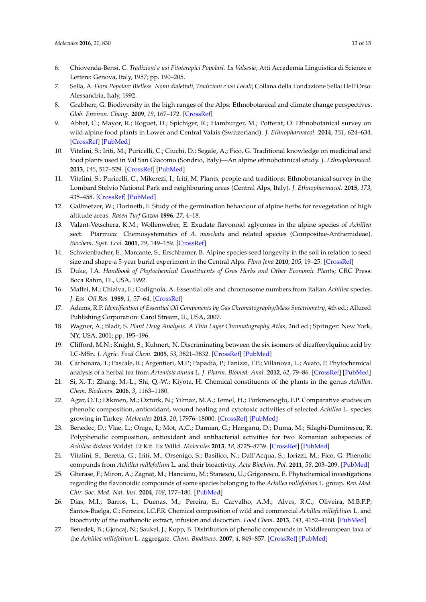- 6. Chiovenda-Bensi, C. *Tradizioni e usi Fitoterapici Popolari. La Valsesia*; Atti Accademia Linguistica di Scienze e Lettere: Genova, Italy, 1957; pp. 190–205.
- 7. Sella, A. *Flora Popolare Biellese. Nomi dialettali, Tradizioni e usi Locali*; Collana della Fondazione Sella; Dell'Orso: Alessandria, Italy, 1992.
- <span id="page-12-1"></span>8. Grabherr, G. Biodiversity in the high ranges of the Alps: Ethnobotanical and climate change perspectives. *Glob. Environ. Chang.* **2009**, *19*, 167–172. [\[CrossRef\]](http://dx.doi.org/10.1016/j.gloenvcha.2009.01.007)
- 9. Abbet, C.; Mayor, R.; Roguet, D.; Spichiger, R.; Hamburger, M.; Potterat, O. Ethnobotanical survey on wild alpine food plants in Lower and Central Valais (Switzerland). *J. Ethnopharmacol.* **2014**, *151*, 624–634. [\[CrossRef\]](http://dx.doi.org/10.1016/j.jep.2013.11.022) [\[PubMed\]](http://www.ncbi.nlm.nih.gov/pubmed/24269246)
- <span id="page-12-2"></span>10. Vitalini, S.; Iriti, M.; Puricelli, C.; Ciuchi, D.; Segale, A.; Fico, G. Traditional knowledge on medicinal and food plants used in Val San Giacomo (Sondrio, Italy)—An alpine ethnobotanical study. *J. Ethnopharmacol.* **2013**, *145*, 517–529. [\[CrossRef\]](http://dx.doi.org/10.1016/j.jep.2012.11.024) [\[PubMed\]](http://www.ncbi.nlm.nih.gov/pubmed/23220197)
- <span id="page-12-0"></span>11. Vitalini, S.; Puricelli, C.; Mikerezi, I.; Iriti, M. Plants, people and traditions: Ethnobotanical survey in the Lombard Stelvio National Park and neighbouring areas (Central Alps, Italy). *J. Ethnopharmacol.* **2015**, *173*, 435–458. [\[CrossRef\]](http://dx.doi.org/10.1016/j.jep.2015.05.036) [\[PubMed\]](http://www.ncbi.nlm.nih.gov/pubmed/26031473)
- <span id="page-12-3"></span>12. Gallmetzer, W.; Florineth, F. Study of the germination behaviour of alpine herbs for revegetation of high altitude areas. *Rasen Turf Gazon* **1996**, *27*, 4–18.
- 13. Valant-Vetschera, K.M.; Wollenweber, E. Exudate flavonoid aglycones in the alpine species of *Achillea* sect. Ptarmica: Chemosystematics of *A. moschata* and related species (Compositae-Anthemideae). *Biochem. Syst. Ecol.* **2001**, *29*, 149–159. [\[CrossRef\]](http://dx.doi.org/10.1016/S0305-1978(00)00033-8)
- <span id="page-12-4"></span>14. Schwienbacher, E.; Marcante, S.; Erschbamer, B. Alpine species seed longevity in the soil in relation to seed size and shape-a 5-year burial experiment in the Central Alps. *Flora Jena* **2010**, *205*, 19–25. [\[CrossRef\]](http://dx.doi.org/10.1016/j.flora.2008.10.007)
- <span id="page-12-5"></span>15. Duke, J.A. *Handbook of Phytochemical Constituents of Gras Herbs and Other Economic Plants*; CRC Press: Boca Raton, FL, USA, 1992.
- <span id="page-12-6"></span>16. Maffei, M.; Chialva, F.; Codignola, A. Essential oils and chromosome numbers from Italian *Achillea* species. *J. Ess. Oil Res.* **1989**, *1*, 57–64. [\[CrossRef\]](http://dx.doi.org/10.1080/10412905.1989.9697751)
- <span id="page-12-7"></span>17. Adams, R.P. *Identification of Essential Oil Components by Gas Chromatography/Mass Spectrometry*, 4th ed.; Allured Publishing Corporation: Carol Stream, IL, USA, 2007.
- <span id="page-12-8"></span>18. Wagner, A.; Bladt, S. *Plant Drug Analysis. A Thin Layer Chromatography Atlas*, 2nd ed.; Springer: New York, NY, USA, 2001; pp. 195–196.
- <span id="page-12-9"></span>19. Clifford, M.N.; Knight, S.; Kuhnert, N. Discriminating between the six isomers of dicaffeoylquinic acid by LC-MSn. *J. Agric. Food Chem.* **2005**, *53*, 3821–3832. [\[CrossRef\]](http://dx.doi.org/10.1021/jf050046h) [\[PubMed\]](http://www.ncbi.nlm.nih.gov/pubmed/15884803)
- <span id="page-12-10"></span>20. Carbonara, T.; Pascale, R.; Argentieri, M.P.; Papadia, P.; Fanizzi, F.P.; Villanova, L.; Avato, P. Phytochemical analysis of a herbal tea from *Artemisia annua* L. *J. Pharm. Biomed. Anal.* **2012**, *62*, 79–86. [\[CrossRef\]](http://dx.doi.org/10.1016/j.jpba.2012.01.015) [\[PubMed\]](http://www.ncbi.nlm.nih.gov/pubmed/22305080)
- <span id="page-12-11"></span>21. Si, X.-T.; Zhang, M.-L.; Shi, Q.-W.; Kiyota, H. Chemical constituents of the plants in the genus *Achillea*. *Chem. Biodivers.* **2006**, *3*, 1163–1180.
- <span id="page-12-12"></span>22. Agar, O.T.; Dikmen, M.; Ozturk, N.; Yilmaz, M.A.; Temel, H.; Turkmenoglu, F.P. Comparative studies on phenolic composition, antioxidant, wound healing and cytotoxic activities of selected *Achillea* L. species growing in Turkey. *Molecules* **2015**, *20*, 17976–18000. [\[CrossRef\]](http://dx.doi.org/10.3390/molecules201017976) [\[PubMed\]](http://www.ncbi.nlm.nih.gov/pubmed/26437391)
- 23. Benedec, D.; Vlae, L.; Oniga, I.; Mot, A.C.; Damian, G.; Hanganu, D.; Duma, M.; Silaghi-Dumitrescu, R. Polyphenolic composition, antioxidant and antibacterial activities for two Romanian subspecies of *Achillea distans* Waldst. Et Kit. Ex Willd. *Molecules* **2013**, *18*, 8725–8739. [\[CrossRef\]](http://dx.doi.org/10.3390/molecules18088725) [\[PubMed\]](http://www.ncbi.nlm.nih.gov/pubmed/23887715)
- 24. Vitalini, S.; Beretta, G.; Iriti, M.; Orsenigo, S.; Basilico, N.; Dall'Acqua, S.; Iorizzi, M.; Fico, G. Phenolic compunds from *Achillea millefolium* L. and their bioactivity. *Acta Biochim. Pol.* **2011**, *58*, 203–209. [\[PubMed\]](http://www.ncbi.nlm.nih.gov/pubmed/21503279)
- <span id="page-12-13"></span>25. Gherase, F.; Miron, A.; Zagnat, M.; Hancianu, M.; Stanescu, U.; Grigorescu, E. Phytochemical investigations regarding the flavonoidic compounds of some species belonging to the *Achillea millefolium* L. group. *Rev. Med. Chir. Soc. Med. Nat. Iasi.* **2004**, *108*, 177–180. [\[PubMed\]](http://www.ncbi.nlm.nih.gov/pubmed/15688780)
- <span id="page-12-14"></span>26. Dias, M.I.; Barros, L.; Duenas, M.; Pereira, E.; Carvalho, A.M.; Alves, R.C.; Oliveira, M.B.P.P; Santos-Buelga, C.; Ferreira, I.C.F.R. Chemical composition of wild and commercial *Achillea millefolium* L. and bioactivity of the mathanolic extract, infusion and decoction. *Food Chem.* **2013**, *141*, 4152–4160. [\[PubMed\]](http://www.ncbi.nlm.nih.gov/pubmed/23993599)
- <span id="page-12-15"></span>27. Benedek, B.; Gjoncaj, N.; Saukel, J.; Kopp, B. Distribution of phenolic compounds in Middleeuropean taxa of the *Achillea millefolium* L. aggregate. *Chem. Biodivers.* **2007**, *4*, 849–857. [\[CrossRef\]](http://dx.doi.org/10.1002/cbdv.200790072) [\[PubMed\]](http://www.ncbi.nlm.nih.gov/pubmed/17511000)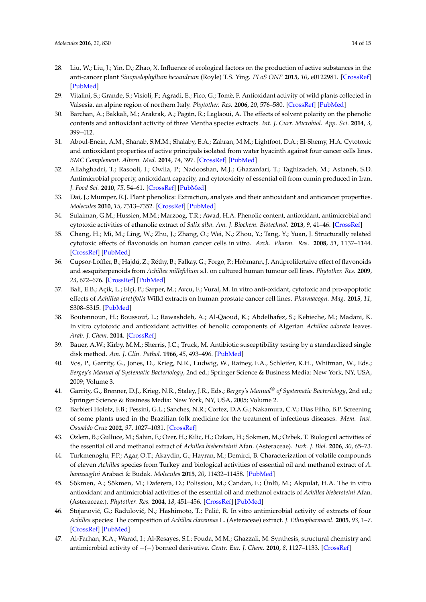- <span id="page-13-0"></span>28. Liu, W.; Liu, J.; Yin, D.; Zhao, X. Influence of ecological factors on the production of active substances in the anti-cancer plant *Sinopodophyllum hexandrum* (Royle) T.S. Ying. *PLoS ONE* **2015**, *10*, e0122981. [\[CrossRef\]](http://dx.doi.org/10.1371/journal.pone.0122981) [\[PubMed\]](http://www.ncbi.nlm.nih.gov/pubmed/25874701)
- <span id="page-13-1"></span>29. Vitalini, S.; Grande, S.; Visioli, F.; Agradi, E.; Fico, G.; Tomè, F. Antioxidant activity of wild plants collected in Valsesia, an alpine region of northern Italy. *Phytother. Res.* **2006**, *20*, 576–580. [\[CrossRef\]](http://dx.doi.org/10.1002/ptr.1910) [\[PubMed\]](http://www.ncbi.nlm.nih.gov/pubmed/16619333)
- <span id="page-13-2"></span>30. Barchan, A.; Bakkali, M.; Arakrak, A.; Pagán, R.; Laglaoui, A. The effects of solvent polarity on the phenolic contents and antioxidant activity of three Mentha species extracts. *Int. J. Curr. Microbiol. App. Sci.* **2014**, *3*, 399–412.
- <span id="page-13-3"></span>31. Aboul-Enein, A.M.; Shanab, S.M.M.; Shalaby, E.A.; Zahran, M.M.; Lightfoot, D.A.; El-Shemy, H.A. Cytotoxic and antioxidant properties of active principals isolated from water hyacinth against four cancer cells lines. *BMC Complement. Altern. Med.* **2014**, *14*, 397. [\[CrossRef\]](http://dx.doi.org/10.1186/1472-6882-14-397) [\[PubMed\]](http://www.ncbi.nlm.nih.gov/pubmed/25315352)
- 32. Allahghadri, T.; Rasooli, I.; Owlia, P.; Nadooshan, M.J.; Ghazanfari, T.; Taghizadeh, M.; Astaneh, S.D. Antimicrobial property, antioxidant capacity, and cytotoxicity of essential oil from cumin produced in Iran. *J. Food Sci.* **2010**, *75*, 54–61. [\[CrossRef\]](http://dx.doi.org/10.1111/j.1750-3841.2009.01467.x) [\[PubMed\]](http://www.ncbi.nlm.nih.gov/pubmed/20492235)
- 33. Dai, J.; Mumper, R.J. Plant phenolics: Extraction, analysis and their antioxidant and anticancer properties. *Molecules* **2010**, *15*, 7313–7352. [\[CrossRef\]](http://dx.doi.org/10.3390/molecules15107313) [\[PubMed\]](http://www.ncbi.nlm.nih.gov/pubmed/20966876)
- <span id="page-13-4"></span>34. Sulaiman, G.M.; Hussien, M.M.; Marzoog, T.R.; Awad, H.A. Phenolic content, antioxidant, antimicrobial and cytotoxic activities of ethanolic extract of *Salix alba*. *Am. J. Biochem. Biotechnol.* **2013**, *9*, 41–46. [\[CrossRef\]](http://dx.doi.org/10.3844/ajbbsp.2013.41.46)
- <span id="page-13-5"></span>35. Chang, H.; Mi, M.; Ling, W.; Zhu, J.; Zhang, O.; Wei, N.; Zhou, Y.; Tang, Y.; Yuan, J. Structurally related cytotoxic effects of flavonoids on human cancer cells in vitro. *Arch. Pharm. Res.* **2008**, *31*, 1137–1144. [\[CrossRef\]](http://dx.doi.org/10.1007/s12272-001-1280-8) [\[PubMed\]](http://www.ncbi.nlm.nih.gov/pubmed/18806956)
- <span id="page-13-6"></span>36. Cupsor-Löffler, B.; Hajdú, Z.; Réthy, B.; Falkay, G.; Forgo, P.; Hohmann, J. Antiprolifertaive effect of flavonoids and sesquiterpenoids from *Achillea millefolium* s.l. on cultured human tumour cell lines. *Phytother. Res.* **2009**, *23*, 672–676. [\[CrossRef\]](http://dx.doi.org/10.1002/ptr.2697) [\[PubMed\]](http://www.ncbi.nlm.nih.gov/pubmed/19107850)
- 37. Bali, E.B.; Açik, L.; Elçi, P.; Sarper, M.; Avcu, F.; Vural, M. In vitro anti-oxidant, cytotoxic and pro-apoptotic effects of *Achillea teretifolia* Willd extracts on human prostate cancer cell lines. *Pharmacogn. Mag.* **2015**, *11*, S308–S315. [\[PubMed\]](http://www.ncbi.nlm.nih.gov/pubmed/26664020)
- <span id="page-13-7"></span>38. Boutennoun, H.; Boussouf, L.; Rawashdeh, A.; Al-Qaoud, K.; Abdelhafez, S.; Kebieche, M.; Madani, K. In vitro cytotoxic and antioxidant activities of henolic components of Algerian *Achillea odorata* leaves. *Arab. J. Chem.* **2014**. [\[CrossRef\]](http://dx.doi.org/10.1016/j.arabjc.2014.05.013)
- <span id="page-13-8"></span>39. Bauer, A.W.; Kirby, M.M.; Sherris, J.C.; Truck, M. Antibiotic susceptibility testing by a standardized single disk method. *Am. J. Clin. Pathol.* **1966**, *45*, 493–496. [\[PubMed\]](http://www.ncbi.nlm.nih.gov/pubmed/5325707)
- <span id="page-13-9"></span>40. Vos, P., Garrity, G., Jones, D., Krieg, N.R., Ludwig, W., Rainey, F.A., Schleifer, K.H., Whitman, W., Eds.; *Bergey's Manual of Systematic Bacteriology*, 2nd ed.; Springer Science & Business Media: New York, NY, USA, 2009; Volume 3.
- <span id="page-13-10"></span>41. Garrity, G., Brenner, D.J., Krieg, N.R., Staley, J.R., Eds.; *Bergey's Manual® of Systematic Bacteriology*, 2nd ed.; Springer Science & Business Media: New York, NY, USA, 2005; Volume 2.
- <span id="page-13-11"></span>42. Barbieri Holetz, F.B.; Pessini, G.L.; Sanches, N.R.; Cortez, D.A.G.; Nakamura, C.V.; Dias Filho, B.P. Screening of some plants used in the Brazilian folk medicine for the treatment of infectious diseases. *Mem. Inst. Oswaldo Cruz* **2002**, *97*, 1027–1031. [\[CrossRef\]](http://dx.doi.org/10.1590/S0074-02762002000700017)
- 43. Ozlem, B.; Gulluce, M.; Sahin, F.; Ozer, H.; Kilic, H.; Ozkan, H.; Sokmen, M.; Ozbek, T. Biological activities of the essential oil and methanol extract of *Achillea biebersteinii* Afan. (Asteraceae). *Turk. J. Biol.* **2006**, *30*, 65–73.
- <span id="page-13-12"></span>44. Turkmenoglu, F.P.; Agar, O.T.; Akaydin, G.; Hayran, M.; Demirci, B. Characterization of volatile compounds of eleven *Achillea* species from Turkey and biological activities of essential oil and methanol extract of *A. hamzaoglui* Arabaci & Budak. *Molecules* **2015**, *20*, 11432–11458. [\[PubMed\]](http://www.ncbi.nlm.nih.gov/pubmed/26111175)
- <span id="page-13-13"></span>45. Sökmen, A.; Sökmen, M.; Daferera, D.; Polissiou, M.; Candan, F.; Ünlü, M.; Akpulat, H.A. The in vitro antioxidant and antimicrobial activities of the essential oil and methanol extracts of *Achillea biebersteini* Afan. (Asteraceae.). *Phytother. Res.* **2004**, *18*, 451–456. [\[CrossRef\]](http://dx.doi.org/10.1002/ptr.1438) [\[PubMed\]](http://www.ncbi.nlm.nih.gov/pubmed/15287068)
- <span id="page-13-14"></span>46. Stojanović, G.; Radulović, N.; Hashimoto, T.; Palić, R. In vitro antimicrobial activity of extracts of four *Achillea* species: The composition of *Achillea clavennae* L. (Asteraceae) extract. *J. Ethnopharmacol.* **2005**, *93*, 1–7. [\[CrossRef\]](http://dx.doi.org/10.1016/j.jep.2005.04.026) [\[PubMed\]](http://www.ncbi.nlm.nih.gov/pubmed/15978758)
- <span id="page-13-15"></span>47. Al-Farhan, K.A.; Warad, I.; Al-Resayes, S.I.; Fouda, M.M.; Ghazzali, M. Synthesis, structural chemistry and antimicrobial activity of  $-(-)$  borneol derivative. *Centr. Eur. J. Chem.* 2010, *8*, 1127–1133. [\[CrossRef\]](http://dx.doi.org/10.2478/s11532-010-1093-0)